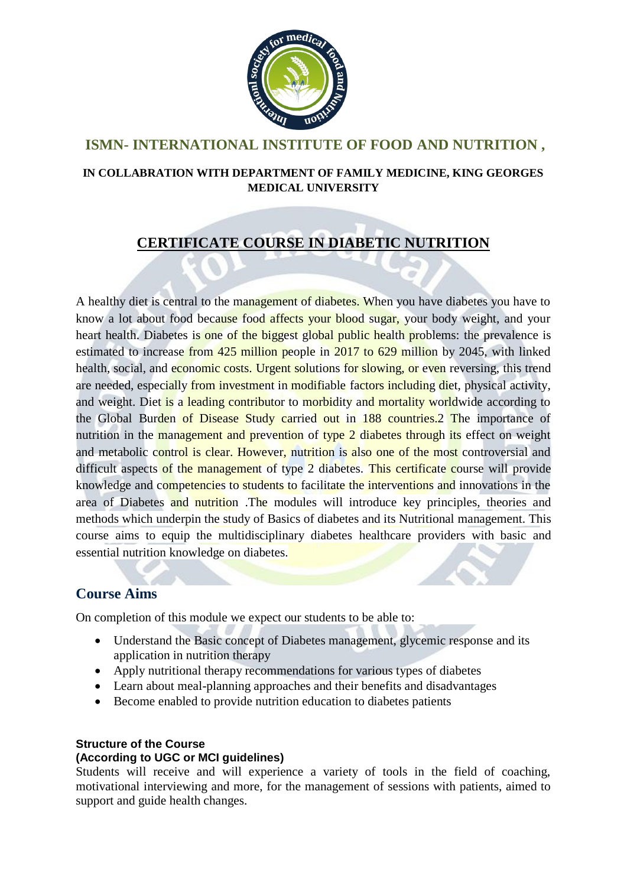

## **ISMN- INTERNATIONAL INSTITUTE OF FOOD AND NUTRITION ,**

### **IN COLLABRATION WITH DEPARTMENT OF FAMILY MEDICINE, KING GEORGES MEDICAL UNIVERSITY**

# **CERTIFICATE COURSE IN DIABETIC NUTRITION**

A healthy diet is central to the management of diabetes. When you have diabetes you have to know a lot about food because food affects your blood sugar, your body weight, and your heart health. Diabetes is one of the biggest global public health problems: the prevalence is estimated to increase from 425 million people in 2017 to 629 million by 2045, with linked health, social, and economic costs. Urgent solutions for slowing, or even reversing, this trend are needed, especially from investment in modifiable factors including diet, physical activity, and weight. Diet is a leading contributor to morbidity and mortality worldwide according to the Global Burden of Disease Study carried out in 188 countries.2 The importance of nutrition in the management and prevention of type 2 diabetes through its effect on weight and metabolic control is clear. However, nutrition is also one of the most controversial and difficult aspects of the management of type 2 diabetes. This certificate course will provide knowledge and competencies to students to facilitate the interventions and innovations in the area of Diabetes and nutrition .The modules will introduce key principles, theories and methods which underpin the study of Basics of diabetes and its Nutritional management. This course aims to equip the multidisciplinary diabetes healthcare providers with basic and essential nutrition knowledge on diabetes.

### **Course Aims**

On completion of this module we expect our students to be able to:

- Understand the Basic concept of Diabetes management, glycemic response and its application in nutrition therapy
- Apply nutritional therapy recommendations for various types of diabetes
- Learn about meal-planning approaches and their benefits and disadvantages
- Become enabled to provide nutrition education to diabetes patients

### **Structure of the Course**

#### **(According to UGC or MCI guidelines)**

Students will receive and will experience a variety of tools in the field of coaching, motivational interviewing and more, for the management of sessions with patients, aimed to support and guide health changes.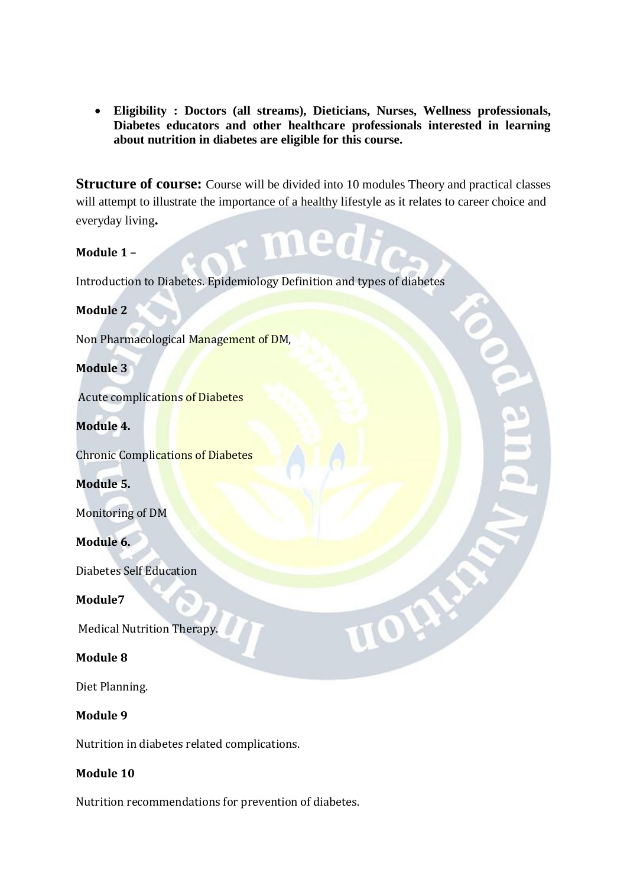**Eligibility : Doctors (all streams), Dieticians, Nurses, Wellness professionals, Diabetes educators and other healthcare professionals interested in learning about nutrition in diabetes are eligible for this course.**

**Structure of course:** Course will be divided into 10 modules Theory and practical classes will attempt to illustrate the importance of a healthy lifestyle as it relates to career choice and everyday living**.**

med **Module 1 –** Introduction to Diabetes. Epidemiology Definition and types of diabetes **Module 2**  Non Pharmacological Management of DM, **Module 3** Acute complications of Diabetes **Module 4.**  Chronic Complications of Diabetes **Module 5.**  Monitoring of DM **Module 6.**  Diabetes Self Education IOH **Module7** Medical Nutrition Therapy. **Module 8**  Diet Planning. **Module 9** 

Nutrition in diabetes related complications.

### **Module 10**

Nutrition recommendations for prevention of diabetes.